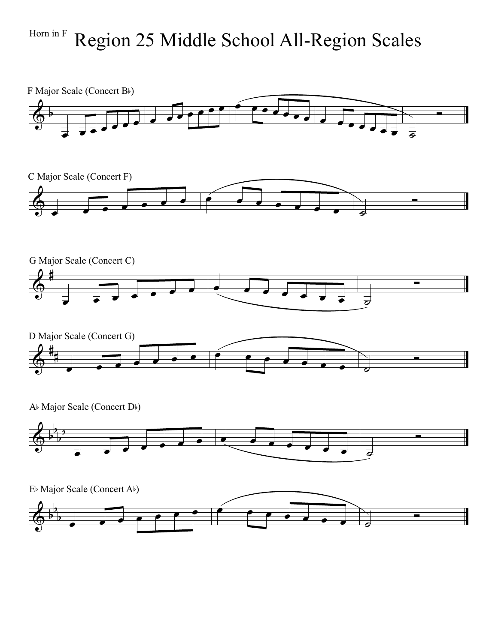## $H_{\text{form in F}}$  Region 25 Middle School All-Region Scales